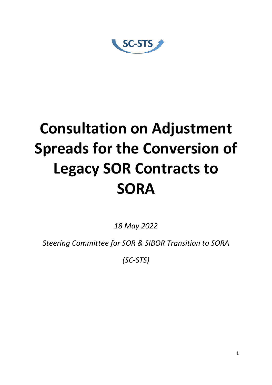SC-STS

# **Consultation on Adjustment Spreads for the Conversion of Legacy SOR Contracts to SORA**

*18 May 2022* 

*Steering Committee for SOR & SIBOR Transition to SORA*

*(SC-STS)*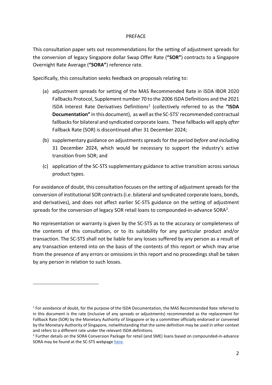#### PREFACE

This consultation paper sets out recommendations for the setting of adjustment spreads for the conversion of legacy Singapore dollar Swap Offer Rate (**"SOR"**) contracts to a Singapore Overnight Rate Average (**"SORA"**) reference rate.

Specifically, this consultation seeks feedback on proposals relating to:

- (a) adjustment spreads for setting of the MAS Recommended Rate in ISDA IBOR 2020 Fallbacks Protocol, Supplement number 70 to the 2006 ISDA Definitions and the 2021 ISDA Interest Rate Derivatives Definitions<sup>[1](#page-1-0)</sup> (collectively referred to as the "ISDA **Documentation"** in this document), as well asthe SC-STS' recommended contractual fallbacks for bilateral and syndicated corporate loans. These fallbacks will apply *after* Fallback Rate (SOR) is discontinued after 31 December 2024;
- (b) supplementary guidance on adjustments spreads for the period *before and including* 31 December 2024, which would be necessary to support the industry's active transition from SOR; and
- (c) application of the SC-STS supplementary guidance to active transition across various product types.

For avoidance of doubt, this consultation focuses on the setting of adjustment spreads for the conversion of institutional SOR contracts (i.e. bilateral and syndicated corporate loans, bonds, and derivatives), and does not affect earlier SC-STS guidance on the setting of adjustment spreads for the conversion of legacy SOR retail loans to compounded-in-advance SORA[2](#page-1-1).

No representation or warranty is given by the SC-STS as to the accuracy or completeness of the contents of this consultation, or to its suitability for any particular product and/or transaction. The SC-STS shall not be liable for any losses suffered by any person as a result of any transaction entered into on the basis of the contents of this report or which may arise from the presence of any errors or omissions in this report and no proceedings shall be taken by any person in relation to such losses.

<span id="page-1-0"></span> $1$  For avoidance of doubt, for the purpose of the ISDA Documentation, the MAS Recommended Rate referred to in this document is the rate (inclusive of any spreads or adjustments) recommended as the replacement for Fallback Rate (SOR) by the Monetary Authority of Singapore or by a committee officially endorsed or convened by the Monetary Authority of Singapore, notwithstanding that the same definition may be used in other context and refers to a different rate under the relevant ISDA definitions.

<span id="page-1-1"></span><sup>&</sup>lt;sup>2</sup> Further details on the SORA Conversion Package for retail (and SME) loans based on compounded-in-advance SORA may be found at the SC-STS webpage [here.](https://www.abs.org.sg/benchmark-rates/sor-sibor-to-sora)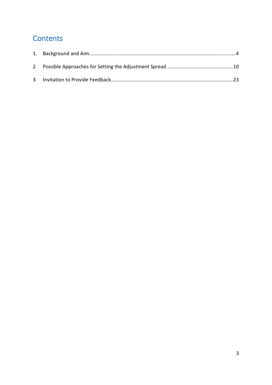# **Contents**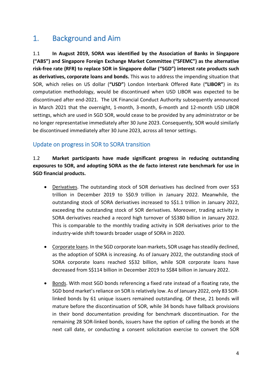# <span id="page-3-0"></span>1. Background and Aim

1.1 **In August 2019, SORA was identified by the Association of Banks in Singapore ("ABS") and Singapore Foreign Exchange Market Committee ("SFEMC") as the alternative risk-free rate (RFR) to replace SOR in Singapore dollar ("SGD") interest rate products such as derivatives, corporate loans and bonds.** This was to address the impending situation that SOR, which relies on US dollar (**"USD"**) London Interbank Offered Rate (**"LIBOR"**) in its computation methodology, would be discontinued when USD LIBOR was expected to be discontinued after end-2021. The UK Financial Conduct Authority subsequently announced in March 2021 that the overnight, 1-month, 3-month, 6-month and 12-month USD LIBOR settings, which are used in SGD SOR, would cease to be provided by any administrator or be no longer representative immediately after 30 June 2023. Consequently, SOR would similarly be discontinued immediately after 30 June 2023, across all tenor settings.

## Update on progress in SOR to SORA transition

1.2 **Market participants have made significant progress in reducing outstanding exposures to SOR, and adopting SORA as the de facto interest rate benchmark for use in SGD financial products.**

- Derivatives. The outstanding stock of SOR derivatives has declined from over S\$3 trillion in December 2019 to S\$0.9 trillion in January 2022. Meanwhile, the outstanding stock of SORA derivatives increased to S\$1.1 trillion in January 2022, exceeding the outstanding stock of SOR derivatives. Moreover, trading activity in SORA derivatives reached a record high turnover of S\$380 billion in January 2022. This is comparable to the monthly trading activity in SOR derivatives prior to the industry-wide shift towards broader usage of SORA in 2020.
- Corporate loans. In the SGD corporate loan markets, SOR usage has steadily declined, as the adoption of SORA is increasing. As of January 2022, the outstanding stock of SORA corporate loans reached S\$32 billion, while SOR corporate loans have decreased from S\$114 billion in December 2019 to S\$84 billion in January 2022.
- Bonds. With most SGD bonds referencing a fixed rate instead of a floating rate, the SGD bond market's reliance on SOR is relatively low. As of January 2022, only 83 SORlinked bonds by 61 unique issuers remained outstanding. Of these, 21 bonds will mature before the discontinuation of SOR, while 34 bonds have fallback provisions in their bond documentation providing for benchmark discontinuation. For the remaining 28 SOR-linked bonds, issuers have the option of calling the bonds at the next call date, or conducting a consent solicitation exercise to convert the SOR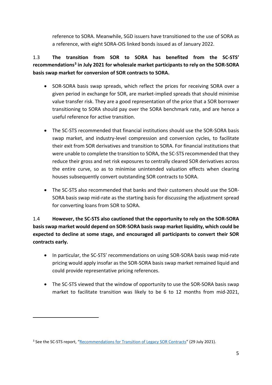reference to SORA. Meanwhile, SGD issuers have transitioned to the use of SORA as a reference, with eight SORA-OIS linked bonds issued as of January 2022.

# 1.3 **The transition from SOR to SORA has benefited from the SC-STS' recommendation[s3](#page-4-0) in July 2021 for wholesale market participants to rely on the SOR-SORA basis swap market for conversion of SOR contracts to SORA.**

- SOR-SORA basis swap spreads, which reflect the prices for receiving SORA over a given period in exchange for SOR, are market-implied spreads that should minimise value transfer risk. They are a good representation of the price that a SOR borrower transitioning to SORA should pay over the SORA benchmark rate, and are hence a useful reference for active transition.
- The SC-STS recommended that financial institutions should use the SOR-SORA basis swap market, and industry-level compression and conversion cycles, to facilitate their exit from SOR derivatives and transition to SORA. For financial institutions that were unable to complete the transition to SORA, the SC-STS recommended that they reduce their gross and net risk exposures to centrally cleared SOR derivatives across the entire curve, so as to minimise unintended valuation effects when clearing houses subsequently convert outstanding SOR contracts to SORA.
- The SC-STS also recommended that banks and their customers should use the SOR-SORA basis swap mid-rate as the starting basis for discussing the adjustment spread for converting loans from SOR to SORA.

1.4 **However, the SC-STS also cautioned that the opportunity to rely on the SOR-SORA basis swap market would depend on SOR-SORA basis swap market liquidity, which could be expected to decline at some stage, and encouraged all participants to convert their SOR contracts early.**

- In particular, the SC-STS' recommendations on using SOR-SORA basis swap mid-rate pricing would apply insofar as the SOR-SORA basis swap market remained liquid and could provide representative pricing references.
- The SC-STS viewed that the window of opportunity to use the SOR-SORA basis swap market to facilitate transition was likely to be 6 to 12 months from mid-2021,

<span id="page-4-0"></span><sup>&</sup>lt;sup>3</sup> See the SC-STS report, ["Recommendations for Transition of Legacy SOR Contracts"](https://www.abs.org.sg/docs/library/sc-sts-recommendations-for-transition-of-legacy-sor-contracts.pdf) (29 July 2021).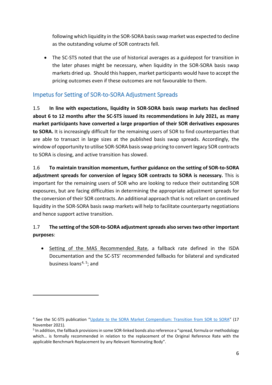following which liquidity in the SOR-SORA basis swap market was expected to decline as the outstanding volume of SOR contracts fell.

• The SC-STS noted that the use of historical averages as a guidepost for transition in the later phases might be necessary, when liquidity in the SOR-SORA basis swap markets dried up. Should this happen, market participants would have to accept the pricing outcomes even if these outcomes are not favourable to them.

# Impetus for Setting of SOR-to-SORA Adjustment Spreads

1.5 **In line with expectations, liquidity in SOR-SORA basis swap markets has declined about 6 to 12 months after the SC-STS issued its recommendations in July 2021, as many market participants have converted a large proportion of their SOR derivatives exposures to SORA.** It is increasingly difficult for the remaining users of SOR to find counterparties that are able to transact in large sizes at the published basis swap spreads. Accordingly, the window of opportunity to utilise SOR-SORA basis swap pricing to convert legacy SOR contracts to SORA is closing, and active transition has slowed.

1.6 **To maintain transition momentum, further guidance on the setting of SOR-to-SORA adjustment spreads for conversion of legacy SOR contracts to SORA is necessary.** This is important for the remaining users of SOR who are looking to reduce their outstanding SOR exposures, but are facing difficulties in determining the appropriate adjustment spreads for the conversion of their SOR contracts. An additional approach that is not reliant on continued liquidity in the SOR-SORA basis swap markets will help to facilitate counterparty negotiations and hence support active transition.

# 1.7 **The setting of the SOR-to-SORA adjustment spreads also servestwo other important purposes**:

• Setting of the MAS Recommended Rate, a fallback rate defined in the ISDA Documentation and the SC-STS' recommended fallbacks for bilateral and syndicated business loans<sup>[4,](#page-5-0) [5](#page-5-1)</sup>; and

<span id="page-5-0"></span><sup>4</sup> See the SC-STS publication ["Update to the SORA Market Compendium: Transition from SOR to SORA"](https://www.abs.org.sg/docs/library/sora-market-compendium-on-the-transition-from-sor-to-sora-version-1-1.pdf) (17 November 2021).

<span id="page-5-1"></span><sup>5</sup> In addition, the fallback provisions in some SOR-linked bonds also reference a "spread, formula or methodology which… is formally recommended in relation to the replacement of the Original Reference Rate with the applicable Benchmark Replacement by any Relevant Nominating Body".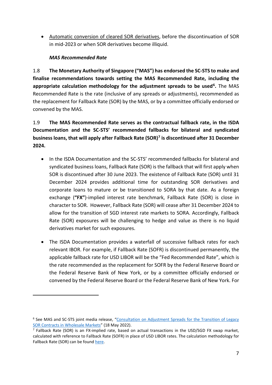• Automatic conversion of cleared SOR derivatives, before the discontinuation of SOR in mid-2023 or when SOR derivatives become illiquid.

#### *MAS Recommended Rate*

1.8 **The Monetary Authority of Singapore ("MAS") has endorsed the SC-STS to make and finalise recommendations towards setting the MAS Recommended Rate, including the appropriate calculation methodology for the adjustment spreads to be used[6](#page-6-0).** The MAS Recommended Rate is the rate (inclusive of any spreads or adjustments), recommended as the replacement for Fallback Rate (SOR) by the MAS, or by a committee officially endorsed or convened by the MAS.

1.9 **The MAS Recommended Rate serves as the contractual fallback rate, in the ISDA Documentation and the SC-STS' recommended fallbacks for bilateral and syndicated business loans, that will apply after Fallback Rate (SOR)[7](#page-6-1) is discontinued after 31 December 2024.**

- In the ISDA Documentation and the SC-STS' recommended fallbacks for bilateral and syndicated business loans, Fallback Rate (SOR) is the fallback that will first apply when SOR is discontinued after 30 June 2023. The existence of Fallback Rate (SOR) until 31 December 2024 provides additional time for outstanding SOR derivatives and corporate loans to mature or be transitioned to SORA by that date. As a foreign exchange (**"FX"**)-implied interest rate benchmark, Fallback Rate (SOR) is close in character to SOR. However, Fallback Rate (SOR) will cease after 31 December 2024 to allow for the transition of SGD interest rate markets to SORA. Accordingly, Fallback Rate (SOR) exposures will be challenging to hedge and value as there is no liquid derivatives market for such exposures.
- The ISDA Documentation provides a waterfall of successive fallback rates for each relevant IBOR. For example, if Fallback Rate (SOFR) is discontinued permanently, the applicable fallback rate for USD LIBOR will be the "Fed Recommended Rate", which is the rate recommended as the replacement for SOFR by the Federal Reserve Board or the Federal Reserve Bank of New York, or by a committee officially endorsed or convened by the Federal Reserve Board or the Federal Reserve Bank of New York. For

<span id="page-6-0"></span><sup>6</sup> See MAS and SC-STS joint media release, ["Consultation on Adjustment Spreads for the Transition of Legacy](https://www.abs.org.sg/docs/library/consultation-on-adjustment-spreads-for-the-transition-of-legacy-sor-contracts-in-wholesale-markets)  [SOR Contracts in Wholesale Markets"](https://www.abs.org.sg/docs/library/consultation-on-adjustment-spreads-for-the-transition-of-legacy-sor-contracts-in-wholesale-markets) (18 May 2022).

<span id="page-6-1"></span><sup>7</sup> Fallback Rate (SOR) is an FX-implied rate, based on actual transactions in the USD/SGD FX swap market, calculated with reference to Fallback Rate (SOFR) in place of USD LIBOR rates. The calculation methodology for Fallback Rate (SOR) can be found [here.](https://abs.org.sg/docs/library/fallback-sor-calculation-methodology.pdf)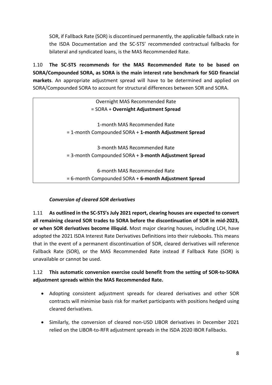SOR, if Fallback Rate (SOR) is discontinued permanently, the applicable fallback rate in the ISDA Documentation and the SC-STS' recommended contractual fallbacks for bilateral and syndicated loans, is the MAS Recommended Rate.

1.10 **The SC-STS recommends for the MAS Recommended Rate to be based on SORA/Compounded SORA, as SORA is the main interest rate benchmark for SGD financial markets**. An appropriate adjustment spread will have to be determined and applied on SORA/Compounded SORA to account for structural differences between SOR and SORA.

| Overnight MAS Recommended Rate                              |
|-------------------------------------------------------------|
| = SORA + Overnight Adjustment Spread                        |
|                                                             |
| 1-month MAS Recommended Rate                                |
| $=$ 1-month Compounded SORA + 1-month Adjustment Spread     |
|                                                             |
| 3-month MAS Recommended Rate                                |
| $=$ 3-month Compounded SORA $+$ 3-month Adjustment Spread   |
|                                                             |
| 6-month MAS Recommended Rate                                |
| $= 6$ -month Compounded SORA $+ 6$ -month Adjustment Spread |

#### *Conversion of cleared SOR derivatives*

1.11 **As outlined in the SC-STS's July 2021 report, clearing houses are expected to convert all remaining cleared SOR trades to SORA before the discontinuation of SOR in mid-2023, or when SOR derivatives become illiquid.** Most major clearing houses, including LCH, have adopted the 2021 ISDA Interest Rate Derivatives Definitions into their rulebooks. This means that in the event of a permanent discontinuation of SOR, cleared derivatives will reference Fallback Rate (SOR), or the MAS Recommended Rate instead if Fallback Rate (SOR) is unavailable or cannot be used.

## 1.12 **This automatic conversion exercise could benefit from the setting of SOR-to-SORA adjustment spreads within the MAS Recommended Rate.**

- Adopting consistent adjustment spreads for cleared derivatives and other SOR contracts will minimise basis risk for market participants with positions hedged using cleared derivatives.
- Similarly, the conversion of cleared non-USD LIBOR derivatives in December 2021 relied on the LIBOR-to-RFR adjustment spreads in the ISDA 2020 IBOR Fallbacks.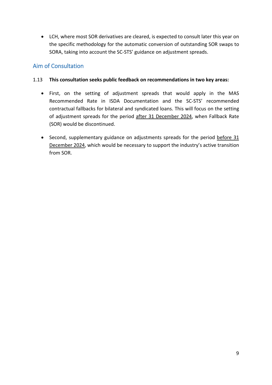• LCH, where most SOR derivatives are cleared, is expected to consult later this year on the specific methodology for the automatic conversion of outstanding SOR swaps to SORA, taking into account the SC-STS' guidance on adjustment spreads.

## Aim of Consultation

#### 1.13 **This consultation seeks public feedback on recommendations in two key areas:**

- First, on the setting of adjustment spreads that would apply in the MAS Recommended Rate in ISDA Documentation and the SC-STS' recommended contractual fallbacks for bilateral and syndicated loans. This will focus on the setting of adjustment spreads for the period after 31 December 2024, when Fallback Rate (SOR) would be discontinued.
- Second, supplementary guidance on adjustments spreads for the period before 31 December 2024, which would be necessary to support the industry's active transition from SOR.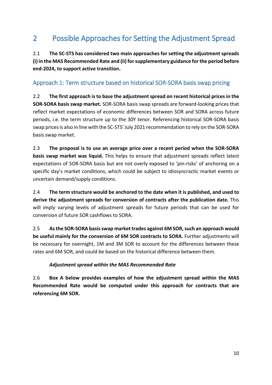# <span id="page-9-0"></span>2 Possible Approaches for Setting the Adjustment Spread

2.1 **The SC-STS has considered two main approaches for setting the adjustment spreads (i) in the MAS Recommended Rate and (ii) for supplementary guidance for the period before end-2024, to support active transition.**

# Approach 1: Term structure based on historical SOR-SORA basis swap pricing

2.2 **The first approach is to base the adjustment spread on recent historical prices in the SOR-SORA basis swap market.** SOR-SORA basis swap spreads are forward-looking prices that reflect market expectations of economic differences between SOR and SORA across future periods, i.e. the term structure up to the 30Y tenor. Referencing historical SOR-SORA basis swap prices is also in line with the SC-STS' July 2021 recommendation to rely on the SOR-SORA basis swap market.

2.3 **The proposal is to use an average price over a recent period when the SOR-SORA basis swap market was liquid.** This helps to ensure that adjustment spreads reflect latest expectations of SOR-SORA basis but are not overly exposed to 'pin-risks' of anchoring on a specific day's market conditions, which could be subject to idiosyncractic market events or uncertain demand/supply conditions.

2.4 **The term structure would be anchored to the date when it is published, and used to derive the adjustment spreads for conversion of contracts after the publication date.** This will imply varying levels of adjustment spreads for future periods that can be used for conversion of future SOR cashflows to SORA.

2.5 **As the SOR-SORA basis swap market trades against 6M SOR, such an approach would be useful mainly for the conversion of 6M SOR contracts to SORA.** Further adjustments will be necessary for overnight, 1M and 3M SOR to account for the differences between these rates and 6M SOR, and could be based on the historical difference between them.

#### *Adjustment spread within the MAS Recommended Rate*

2.6 **Box A below provides examples of how the adjustment spread within the MAS Recommended Rate would be computed under this approach for contracts that are referencing 6M SOR.**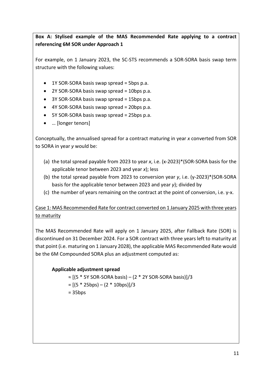**Box A: Stylised example of the MAS Recommended Rate applying to a contract referencing 6M SOR under Approach 1**

For example, on 1 January 2023, the SC-STS recommends a SOR-SORA basis swap term structure with the following values:

- $\bullet$  1Y SOR-SORA basis swap spread = 5bps p.a.
- 2Y SOR-SORA basis swap spread = 10bps p.a.
- 3Y SOR-SORA basis swap spread = 15bps p.a.
- 4Y SOR-SORA basis swap spread = 20bps p.a.
- 5Y SOR-SORA basis swap spread = 25bps p.a.
- … [longer tenors]

Conceptually, the annualised spread for a contract maturing in year *x* converted from SOR to SORA in year *y* would be:

- (a) the total spread payable from 2023 to year *x*, i.e. (x-2023)\*(SOR-SORA basis for the applicable tenor between 2023 and year *x*); less
- (b) the total spread payable from 2023 to conversion year *y*, i.e. (y-2023)\*(SOR-SORA basis for the applicable tenor between 2023 and year *y*); divided by
- (c) the number of years remaining on the contract at the point of conversion, i.e. y-x.

# Case 1: MAS Recommended Rate for contract converted on 1 January 2025 with three years to maturity

The MAS Recommended Rate will apply on 1 January 2025, after Fallback Rate (SOR) is discontinued on 31 December 2024. For a SOR contract with three years left to maturity at that point (i.e. maturing on 1 January 2028), the applicable MAS Recommended Rate would be the 6M Compounded SORA plus an adjustment computed as:

#### **Applicable adjustment spread**

≈ [(5 \* 5Y SOR-SORA basis) – (2 \* 2Y SOR-SORA basis)]/3  $= [(5 * 25bps) - (2 * 10bps)]/3$ = 35bps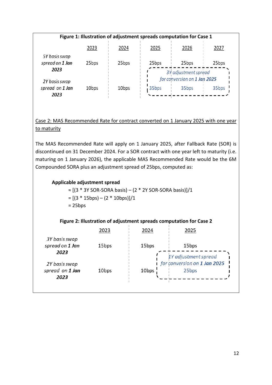| Figure 1: Illustration of adjustment spreads computation for Case 1 |                   |                   |                                                      |       |       |
|---------------------------------------------------------------------|-------------------|-------------------|------------------------------------------------------|-------|-------|
|                                                                     | 2023              | 2024              | 2025                                                 | 2026  | 2027  |
| 5Y basis swap<br>spread on 1 Jan<br>2023                            | 25bps             | 25bps             | 25bps                                                | 25bps | 25bps |
| 2Y basis swap                                                       |                   |                   | 3Y adjustment spread<br>for conversion on 1 Jan 2025 |       |       |
| spread on 1 Jan<br>2023                                             | 10 <sub>bps</sub> | 10 <sub>bps</sub> | 35bps                                                | 35bps | 35bps |

#### Case 2: MAS Recommended Rate for contract converted on 1 January 2025 with one year to maturity

The MAS Recommended Rate will apply on 1 January 2025, after Fallback Rate (SOR) is discontinued on 31 December 2024. For a SOR contract with one year left to maturity (i.e. maturing on 1 January 2026), the applicable MAS Recommended Rate would be the 6M Compounded SORA plus an adjustment spread of 25bps, computed as:

#### **Applicable adjustment spread**

 $\approx$  [(3 \* 3Y SOR-SORA basis) – (2 \* 2Y SOR-SORA basis)]/1  $= [(3 * 15bps) - (2 * 10bps)]/1$  $= 25bps$ 

#### **Figure 2: Illustration of adjustment spreads computation for Case 2**

|                                          | 2023              | 2024              | 2025                                                          |
|------------------------------------------|-------------------|-------------------|---------------------------------------------------------------|
| 3Y basis swap<br>spread on 1 Jan<br>2023 | 15 <sub>bps</sub> | 15bps             | 15 <sub>bps</sub>                                             |
| 2Y basis swap<br>spread on 1 Jan<br>2023 | 10 <sub>bps</sub> | 10 <sub>bps</sub> | 1Y adjustment spread<br>for conversion on 1 Jan 2025<br>25bps |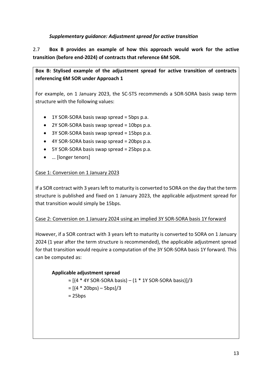#### *Supplementary guidance: Adjustment spread for active transition*

2.7 **Box B provides an example of how this approach would work for the active transition (before end-2024) of contracts that reference 6M SOR.**

**Box B: Stylised example of the adjustment spread for active transition of contracts referencing 6M SOR under Approach 1** 

For example, on 1 January 2023, the SC-STS recommends a SOR-SORA basis swap term structure with the following values:

- $\bullet$  1Y SOR-SORA basis swap spread = 5bps p.a.
- 2Y SOR-SORA basis swap spread = 10bps p.a.
- 3Y SOR-SORA basis swap spread = 15bps p.a.
- 4Y SOR-SORA basis swap spread = 20bps p.a.
- 5Y SOR-SORA basis swap spread = 25bps p.a.
- … [longer tenors]

#### Case 1: Conversion on 1 January 2023

If a SOR contract with 3 years left to maturity is converted to SORA on the day that the term structure is published and fixed on 1 January 2023, the applicable adjustment spread for that transition would simply be 15bps.

#### Case 2: Conversion on 1 January 2024 using an implied 3Y SOR-SORA basis 1Y forward

However, if a SOR contract with 3 years left to maturity is converted to SORA on 1 January 2024 (1 year after the term structure is recommended), the applicable adjustment spread for that transition would require a computation of the 3Y SOR-SORA basis 1Y forward. This can be computed as:

#### **Applicable adjustment spread**

 $\approx$  [(4 \* 4Y SOR-SORA basis) – (1 \* 1Y SOR-SORA basis)]/3  $= [(4 * 20bps) - 5bps]/3$ 

 $= 25bps$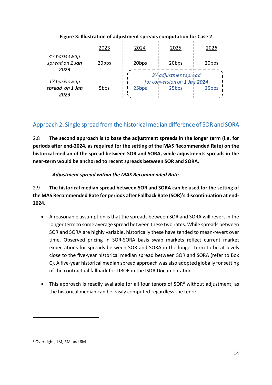|                 |                   | Figure 3: Illustration of adjustment spreads computation for Case 2 |                                                      |                   |
|-----------------|-------------------|---------------------------------------------------------------------|------------------------------------------------------|-------------------|
|                 | 2023              | 2024                                                                | 2025                                                 | 2026              |
| 4Y basis swap   |                   |                                                                     |                                                      |                   |
| spread on 1 Jan | 20 <sub>bps</sub> | 20bps                                                               | 20 <sub>bps</sub>                                    | 20 <sub>bps</sub> |
| 2023            |                   |                                                                     |                                                      |                   |
| 1Y basis swap   |                   |                                                                     | 3Y adjustment spread<br>for conversion on 1 Jan 2024 |                   |
| spread on 1 Jan | 5 <sub>bps</sub>  | 25 <sub>bps</sub>                                                   | 25 <sub>bps</sub>                                    | 25 <sub>bps</sub> |
| 2023            |                   |                                                                     |                                                      |                   |

# Approach 2: Single spread from the historical median difference of SOR and SORA

2.8 **The second approach is to base the adjustment spreads in the longer term (i.e. for periods after end-2024, as required for the setting of the MAS Recommended Rate) on the historical median of the spread between SOR and SORA, while adjustments spreads in the near-term would be anchored to recent spreads between SOR and SORA.**

#### *Adjustment spread within the MAS Recommended Rate*

2.9 **The historical median spread between SOR and SORA can be used for the setting of the MAS Recommended Rate for periods after Fallback Rate (SOR)'s discontinuation at end-2024.**

- A reasonable assumption is that the spreads between SOR and SORA will revert in the longer term to some average spread between these two rates. While spreads between SOR and SORA are highly variable, historically these have tended to mean-revert over time. Observed pricing in SOR-SORA basis swap markets reflect current market expectations for spreads between SOR and SORA in the longer term to be at levels close to the five-year historical median spread between SOR and SORA (refer to Box C). A five-year historical median spread approach was also adopted globally for setting of the contractual fallback for LIBOR in the ISDA Documentation.
- This approach is readily available for all four tenors of  $SOR<sup>8</sup>$  $SOR<sup>8</sup>$  $SOR<sup>8</sup>$  without adjustment, as the historical median can be easily computed regardless the tenor.

<span id="page-13-0"></span><sup>8</sup> Overnight, 1M, 3M and 6M.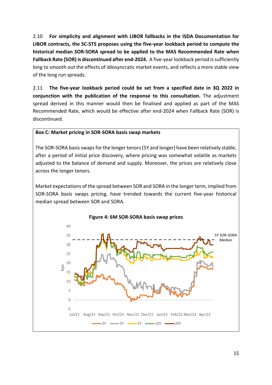2.10 **For simplicity and alignment with LIBOR fallbacks in the ISDA Documentation for LIBOR contracts, the SC-STS proposes using the five-year lookback period to compute the historical median SOR-SORA spread to be applied to the MAS Recommended Rate when Fallback Rate (SOR) is discontinued after end-2024.** A five-year lookback period is sufficiently long to smooth out the effects of idiosyncratic market events, and reflects a more stable view of the long run spreads.

2.11 **The five-year lookback period could be set from a specified date in 3Q 2022 in conjunction with the publication of the response to this consultation.** The adjustment spread derived in this manner would then be finalised and applied as part of the MAS Recommended Rate, which would be effective after end-2024 when Fallback Rate (SOR) is discontinued.

#### **Box C: Market pricing in SOR-SORA basis swap markets**

The SOR-SORA basis swaps for the longer tenors (5Y and longer) have been relatively stable, after a period of initial price discovery, where pricing was somewhat volatile as markets adjusted to the balance of demand and supply. Moreover, the prices are relatively close across the longer tenors.

Market expectations of the spread between SOR and SORA in the longer term, implied from SOR-SORA basis swaps pricing, have trended towards the current five-year historical median spread between SOR and SORA.

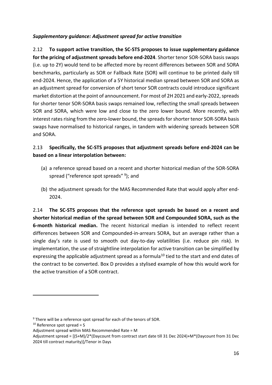#### *Supplementary guidance: Adjustment spread for active transition*

2.12 **To support active transition, the SC-STS proposes to issue supplementary guidance for the pricing of adjustment spreads before end-2024**. Shorter tenor SOR-SORA basis swaps (i.e. up to 2Y) would tend to be affected more by recent differences between SOR and SORA benchmarks, particularly as SOR or Fallback Rate (SOR) will continue to be printed daily till end-2024. Hence, the application of a 5Y historical median spread between SOR and SORA as an adjustment spread for conversion of short tenor SOR contracts could introduce significant market distortion at the point of announcement. For most of 2H 2021 and early-2022, spreads for shorter tenor SOR-SORA basis swaps remained low, reflecting the small spreads between SOR and SORA, which were low and close to the zero lower bound. More recently, with interest rates rising from the zero-lower bound, the spreads for shorter tenor SOR-SORA basis swaps have normalised to historical ranges, in tandem with widening spreads between SOR and SORA.

### 2.13 **Specifically, the SC-STS proposes that adjustment spreads before end-2024 can be based on a linear interpolation between:**

- (a) a reference spread based on a recent and shorter historical median of the SOR-SORA spread ("reference spot spreads" [9](#page-15-0)); and
- (b) the adjustment spreads for the MAS Recommended Rate that would apply after end-2024.

2.14 **The SC-STS proposes that the reference spot spreads be based on a recent and shorter historical median of the spread between SOR and Compounded SORA, such as the 6-month historical median.** The recent historical median is intended to reflect recent differences between SOR and Compounded-in-arrears SORA, but an average rather than a single day's rate is used to smooth out day-to-day volatilities (i.e. reduce pin risk). In implementation, the use of straightline interpolation for active transition can be simplified by expressing the applicable adjustment spread as a formula<sup>[10](#page-15-1)</sup> tied to the start and end dates of the contract to be converted. Box D provides a stylised example of how this would work for the active transition of a SOR contract.

<span id="page-15-0"></span><sup>&</sup>lt;sup>9</sup> There will be a reference spot spread for each of the tenors of SOR.

<span id="page-15-1"></span> $10$  Reference spot spread = S

Adjustment spread within MAS Recommended Rate = M

Adjustment spread = [(S+M)/2\*(Daycount from contract start date till 31 Dec 2024)+M\*(Daycount from 31 Dec 2024 till contract maturity)]/Tenor in Days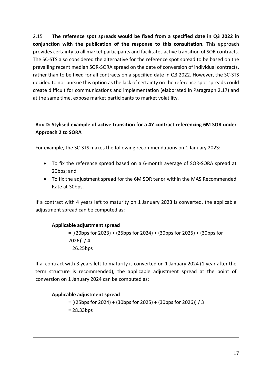2.15 **The reference spot spreads would be fixed from a specified date in Q3 2022 in conjunction with the publication of the response to this consultation.** This approach provides certainty to all market participants and facilitates active transition of SOR contracts. The SC-STS also considered the alternative for the reference spot spread to be based on the prevailing recent median SOR-SORA spread on the date of conversion of individual contracts, rather than to be fixed for all contracts on a specified date in Q3 2022. However, the SC-STS decided to not pursue this option as the lack of certainty on the reference spot spreads could create difficult for communications and implementation (elaborated in Paragraph 2.17) and at the same time, expose market participants to market volatility.

#### **Box D: Stylised example of active transition for a 4Y contract referencing 6M SOR under Approach 2 to SORA**

For example, the SC-STS makes the following recommendations on 1 January 2023:

- To fix the reference spread based on a 6-month average of SOR-SORA spread at 20bps; and
- To fix the adjustment spread for the 6M SOR tenor within the MAS Recommended Rate at 30bps.

If a contract with 4 years left to maturity on 1 January 2023 is converted, the applicable adjustment spread can be computed as:

#### **Applicable adjustment spread**

= [(20bps for 2023) + (25bps for 2024) + (30bps for 2025) + (30bps for 2026)] / 4  $= 26.25$ bps

If a contract with 3 years left to maturity is converted on 1 January 2024 (1 year after the term structure is recommended), the applicable adjustment spread at the point of conversion on 1 January 2024 can be computed as:

#### **Applicable adjustment spread**

= [(25bps for 2024) + (30bps for 2025) + (30bps for 2026)] / 3 = 28.33bps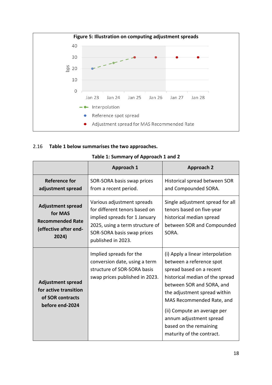

#### 2.16 **Table 1 below summarises the two approaches.**

|                                                                                                  | Approach 1                                                                                                                                                                          | <b>Approach 2</b>                                                                                                                                                                                                                                                                                                                      |
|--------------------------------------------------------------------------------------------------|-------------------------------------------------------------------------------------------------------------------------------------------------------------------------------------|----------------------------------------------------------------------------------------------------------------------------------------------------------------------------------------------------------------------------------------------------------------------------------------------------------------------------------------|
| Reference for<br>adjustment spread                                                               | SOR-SORA basis swap prices<br>from a recent period.                                                                                                                                 | Historical spread between SOR<br>and Compounded SORA.                                                                                                                                                                                                                                                                                  |
| <b>Adjustment spread</b><br>for MAS<br><b>Recommended Rate</b><br>(effective after end-<br>2024) | Various adjustment spreads<br>for different tenors based on<br>implied spreads for 1 January<br>2025, using a term structure of<br>SOR-SORA basis swap prices<br>published in 2023. | Single adjustment spread for all<br>tenors based on five-year<br>historical median spread<br>between SOR and Compounded<br>SORA.                                                                                                                                                                                                       |
| <b>Adjustment spread</b><br>for active transition<br>of SOR contracts<br>before end-2024         | Implied spreads for the<br>conversion date, using a term<br>structure of SOR-SORA basis<br>swap prices published in 2023.                                                           | (i) Apply a linear interpolation<br>between a reference spot<br>spread based on a recent<br>historical median of the spread<br>between SOR and SORA, and<br>the adjustment spread within<br>MAS Recommended Rate, and<br>(ii) Compute an average per<br>annum adjustment spread<br>based on the remaining<br>maturity of the contract. |

#### **Table 1: Summary of Approach 1 and 2**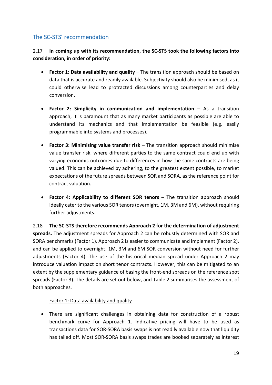# The SC-STS' recommendation

2.17 **In coming up with its recommendation, the SC-STS took the following factors into consideration, in order of priority:**

- **Factor 1: Data availability and quality**  The transition approach should be based on data that is accurate and readily available. Subjectivity should also be minimised, as it could otherwise lead to protracted discussions among counterparties and delay conversion.
- **Factor 2: Simplicity in communication and implementation** As a transition approach, it is paramount that as many market participants as possible are able to understand its mechanics and that implementation be feasible (e.g. easily programmable into systems and processes).
- **Factor 3: Minimising value transfer risk**  The transition approach should minimise value transfer risk, where different parties to the same contract could end up with varying economic outcomes due to differences in how the same contracts are being valued. This can be achieved by adhering, to the greatest extent possible, to market expectations of the future spreads between SOR and SORA, as the reference point for contract valuation.
- **Factor 4: Applicability to different SOR tenors** The transition approach should ideally cater to the various SOR tenors (overnight, 1M, 3M and 6M), without requiring further adjustments.

2.18 **The SC-STS therefore recommends Approach 2 for the determination of adjustment spreads.** The adjustment spreads for Approach 2 can be robustly determined with SOR and SORA benchmarks (Factor 1). Approach 2 is easier to communicate and implement (Factor 2), and can be applied to overnight, 1M, 3M and 6M SOR conversion without need for further adjustments (Factor 4). The use of the historical median spread under Approach 2 may introduce valuation impact on short tenor contracts. However, this can be mitigated to an extent by the supplementary guidance of basing the front-end spreads on the reference spot spreads (Factor 3). The details are set out below, and Table 2 summarises the assessment of both approaches.

#### Factor 1: Data availability and quality

• There are significant challenges in obtaining data for construction of a robust benchmark curve for Approach 1. Indicative pricing will have to be used as transactions data for SOR-SORA basis swaps is not readily available now that liquidity has tailed off. Most SOR-SORA basis swaps trades are booked separately as interest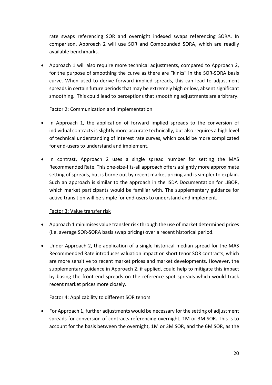rate swaps referencing SOR and overnight indexed swaps referencing SORA. In comparison, Approach 2 will use SOR and Compounded SORA, which are readily available benchmarks.

• Approach 1 will also require more technical adjustments, compared to Approach 2, for the purpose of smoothing the curve as there are "kinks" in the SOR-SORA basis curve. When used to derive forward implied spreads, this can lead to adjustment spreads in certain future periods that may be extremely high or low, absent significant smoothing. This could lead to perceptions that smoothing adjustments are arbitrary.

#### Factor 2: Communication and Implementation

- In Approach 1, the application of forward implied spreads to the conversion of individual contracts is slightly more accurate technically, but also requires a high level of technical understanding of interest rate curves, which could be more complicated for end-users to understand and implement.
- In contrast, Approach 2 uses a single spread number for setting the MAS Recommended Rate. This one-size-fits-all approach offers a slightly more approximate setting of spreads, but is borne out by recent market pricing and is simpler to explain. Such an approach is similar to the approach in the ISDA Documentation for LIBOR, which market participants would be familiar with. The supplementary guidance for active transition will be simple for end-users to understand and implement.

#### Factor 3: Value transfer risk

- Approach 1 minimises value transfer risk through the use of market determined prices (i.e. average SOR-SORA basis swap pricing) over a recent historical period.
- Under Approach 2, the application of a single historical median spread for the MAS Recommended Rate introduces valuation impact on short tenor SOR contracts, which are more sensitive to recent market prices and market developments. However, the supplementary guidance in Approach 2, if applied, could help to mitigate this impact by basing the front-end spreads on the reference spot spreads which would track recent market prices more closely.

#### Factor 4: Applicability to different SOR tenors

• For Approach 1, further adjustments would be necessary for the setting of adjustment spreads for conversion of contracts referencing overnight, 1M or 3M SOR. This is to account for the basis between the overnight, 1M or 3M SOR, and the 6M SOR, as the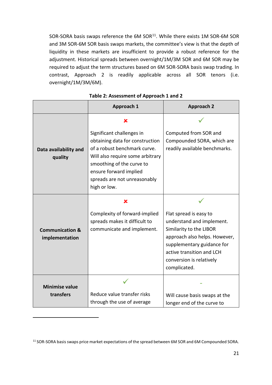SOR-SORA basis swaps reference the 6M SOR<sup>11</sup>. While there exists 1M SOR-6M SOR and 3M SOR-6M SOR basis swaps markets, the committee's view is that the depth of liquidity in these markets are insufficient to provide a robust reference for the adjustment. Historical spreads between overnight/1M/3M SOR and 6M SOR may be required to adjust the term structures based on 6M SOR-SORA basis swap trading. In contrast, Approach 2 is readily applicable across all SOR tenors (i.e. overnight/1M/3M/6M).

|                                              | Approach 1                                                                                                                                                                                                                              | <b>Approach 2</b>                                                                                                                                                                                                      |  |
|----------------------------------------------|-----------------------------------------------------------------------------------------------------------------------------------------------------------------------------------------------------------------------------------------|------------------------------------------------------------------------------------------------------------------------------------------------------------------------------------------------------------------------|--|
|                                              | x                                                                                                                                                                                                                                       |                                                                                                                                                                                                                        |  |
| Data availability and<br>quality             | Significant challenges in<br>obtaining data for construction<br>of a robust benchmark curve.<br>Will also require some arbitrary<br>smoothing of the curve to<br>ensure forward implied<br>spreads are not unreasonably<br>high or low. | Computed from SOR and<br>Compounded SORA, which are<br>readily available benchmarks.                                                                                                                                   |  |
|                                              | x                                                                                                                                                                                                                                       |                                                                                                                                                                                                                        |  |
| <b>Communication &amp;</b><br>implementation | Complexity of forward-implied<br>spreads makes it difficult to<br>communicate and implement.                                                                                                                                            | Flat spread is easy to<br>understand and implement.<br>Similarity to the LIBOR<br>approach also helps. However,<br>supplementary guidance for<br>active transition and LCH<br>conversion is relatively<br>complicated. |  |
| <b>Minimise value</b>                        |                                                                                                                                                                                                                                         |                                                                                                                                                                                                                        |  |
| transfers                                    | Reduce value transfer risks<br>through the use of average                                                                                                                                                                               | Will cause basis swaps at the<br>longer end of the curve to                                                                                                                                                            |  |

|  | Table 2: Assessment of Approach 1 and 2 |
|--|-----------------------------------------|
|--|-----------------------------------------|

<span id="page-20-0"></span><sup>11</sup> SOR-SORA basis swaps price market expectations of the spread between 6M SOR and 6M Compounded SORA.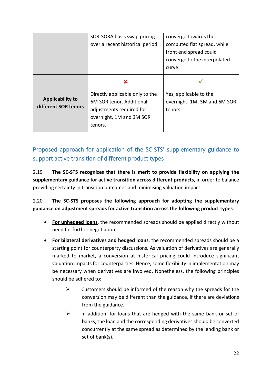|                                                 | SOR-SORA basis swap pricing<br>over a recent historical period                                                                      | converge towards the<br>computed flat spread, while<br>front end spread could<br>converge to the interpolated<br>curve. |
|-------------------------------------------------|-------------------------------------------------------------------------------------------------------------------------------------|-------------------------------------------------------------------------------------------------------------------------|
| <b>Applicability to</b><br>different SOR tenors | x<br>Directly applicable only to the<br>6M SOR tenor. Additional<br>adjustments required for<br>overnight, 1M and 3M SOR<br>tenors. | Yes, applicable to the<br>overnight, 1M, 3M and 6M SOR<br>tenors                                                        |

# Proposed approach for application of the SC-STS' supplementary guidance to support active transition of different product types

2.19 **The SC-STS recognizes that there is merit to provide flexibility on applying the supplementary guidance for active transition across different products**, in order to balance providing certainty in transition outcomes and minimising valuation impact.

## 2.20 **The SC-STS proposes the following approach for adopting the supplementary guidance on adjustment spreads for active transition across the following product types**:

- **For unhedged loans**, the recommended spreads should be applied directly without need for further negotiation.
- **For bilateral derivatives and hedged loans**, the recommended spreads should be a starting point for counterparty discussions. As valuation of derivatives are generally marked to market, a conversion at historical pricing could introduce significant valuation impacts for counterparties. Hence, some flexibility in implementation may be necessary when derivatives are involved. Nonetheless, the following principles should be adhered to:
	- $\triangleright$  Customers should be informed of the reason why the spreads for the conversion may be different than the guidance, if there are deviations from the guidance.
	- $\triangleright$  In addition, for loans that are hedged with the same bank or set of banks, the loan and the corresponding derivatives should be converted concurrently at the same spread as determined by the lending bank or set of bank(s).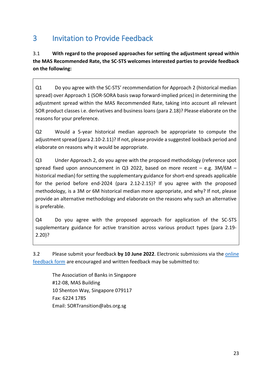# <span id="page-22-0"></span>3 Invitation to Provide Feedback

3.1 **With regard to the proposed approaches for setting the adjustment spread within the MAS Recommended Rate, the SC-STS welcomes interested parties to provide feedback on the following:**

Q1 Do you agree with the SC-STS' recommendation for Approach 2 (historical median spread) over Approach 1 (SOR-SORA basis swap forward-implied prices) in determining the adjustment spread within the MAS Recommended Rate, taking into account all relevant SOR product classes i.e. derivatives and business loans (para 2.18)? Please elaborate on the reasons for your preference.

Q2 Would a 5-year historical median approach be appropriate to compute the adjustment spread (para 2.10-2.11)? If not, please provide a suggested lookback period and elaborate on reasons why it would be appropriate.

Q3 Under Approach 2, do you agree with the proposed methodology (reference spot spread fixed upon announcement in Q3 2022, based on more recent  $-$  e.g. 3M/6M  $$ historical median) for setting the supplementary guidance for short-end spreads applicable for the period before end-2024 (para 2.12-2.15)? If you agree with the proposed methodology, is a 3M or 6M historical median more appropriate, and why? If not, please provide an alternative methodology and elaborate on the reasons why such an alternative is preferable.

Q4 Do you agree with the proposed approach for application of the SC-STS supplementary guidance for active transition across various product types (para 2.19- 2.20)?

3.2 Please submit your feedback **by 10 June 2022**. Electronic submissions via the [online](https://ncv.microsoft.com/VRuyjmSMqj)  [feedback form](https://ncv.microsoft.com/VRuyjmSMqj) are encouraged and written feedback may be submitted to:

The Association of Banks in Singapore #12-08, MAS Building 10 Shenton Way, Singapore 079117 Fax: 6224 1785 Email: SORTransition@abs.org.sg